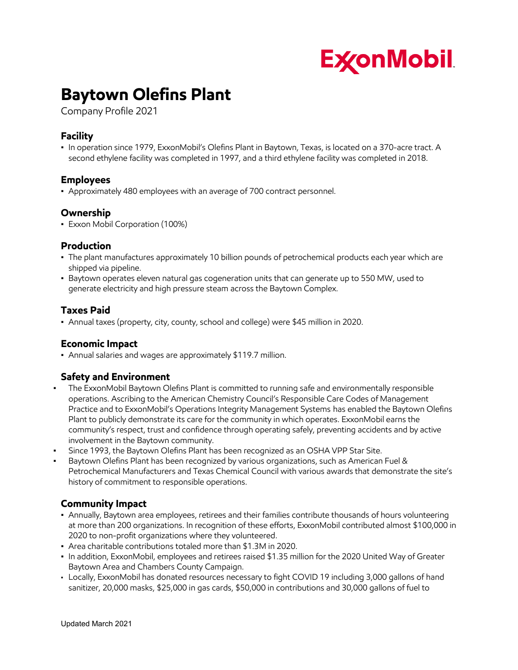

# **Baytown Olefins Plant**

Company Profile 2021

### **Facility**

▪ In operation since 1979, ExxonMobil's Olefins Plant in Baytown, Texas, is located on a 370-acre tract. A second ethylene facility was completed in 1997, and a third ethylene facility was completed in 2018.

#### **Employees**

▪ Approximately 480 employees with an average of 700 contract personnel.

#### **Ownership**

**• Exxon Mobil Corporation (100%)** 

#### **Production**

- The plant manufactures approximately 10 billion pounds of petrochemical products each year which are shipped via pipeline.
- Baytown operates eleven natural gas cogeneration units that can generate up to 550 MW, used to generate electricity and high pressure steam across the Baytown Complex.

#### **Taxes Paid**

▪ Annual taxes (property, city, county, school and college) were \$45 million in 2020.

#### **Economic Impact**

▪ Annual salaries and wages are approximately \$119.7 million.

#### **Safety and Environment**

- **•** The ExxonMobil Baytown Olefins Plant is committed to running safe and environmentally responsible operations. Ascribing to the American Chemistry Council's Responsible Care Codes of Management Practice and to ExxonMobil's Operations Integrity Management Systems has enabled the Baytown Olefins Plant to publicly demonstrate its care for the community in which operates. ExxonMobil earns the community's respect, trust and confidence through operating safely, preventing accidents and by active involvement in the Baytown community.
- Since 1993, the Baytown Olefins Plant has been recognized as an OSHA VPP Star Site.
- Baytown Olefins Plant has been recognized by various organizations, such as American Fuel & Petrochemical Manufacturers and Texas Chemical Council with various awards that demonstrate the site's history of commitment to responsible operations.

#### **Community Impact**

- Annually, Baytown area employees, retirees and their families contribute thousands of hours volunteering at more than 200 organizations. In recognition of these efforts, ExxonMobil contributed almost \$100,000 in 2020 to non-profit organizations where they volunteered.
- Area charitable contributions totaled more than \$1.3M in 2020.
- In addition, ExxonMobil, employees and retirees raised \$1.35 million for the 2020 United Way of Greater Baytown Area and Chambers County Campaign.
- Locally, ExxonMobil has donated resources necessary to fight COVID 19 including 3,000 gallons of hand sanitizer, 20,000 masks, \$25,000 in gas cards, \$50,000 in contributions and 30,000 gallons of fuel to